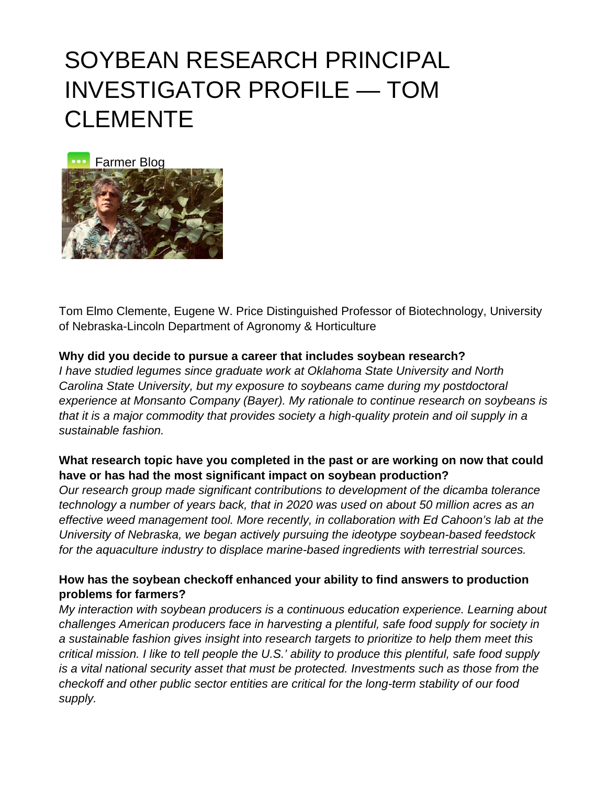# SOYBEAN RESEARCH PRINCIPAL INVESTIGATOR PROFILE — TOM **CLEMENTE**



Tom Elmo Clemente, Eugene W. Price Distinguished Professor of Biotechnology, University of Nebraska-Lincoln Department of Agronomy & Horticulture

#### **Why did you decide to pursue a career that includes soybean research?**

I have studied legumes since graduate work at Oklahoma State University and North Carolina State University, but my exposure to soybeans came during my postdoctoral experience at Monsanto Company (Bayer). My rationale to continue research on soybeans is that it is a major commodity that provides society a high-quality protein and oil supply in a sustainable fashion.

### **What research topic have you completed in the past or are working on now that could have or has had the most significant impact on soybean production?**

Our research group made significant contributions to development of the dicamba tolerance technology a number of years back, that in 2020 was used on about 50 million acres as an effective weed management tool. More recently, in collaboration with Ed Cahoon's lab at the University of Nebraska, we began actively pursuing the ideotype soybean-based feedstock for the aquaculture industry to displace marine-based ingredients with terrestrial sources.

### **How has the soybean checkoff enhanced your ability to find answers to production problems for farmers?**

My interaction with soybean producers is a continuous education experience. Learning about challenges American producers face in harvesting a plentiful, safe food supply for society in a sustainable fashion gives insight into research targets to prioritize to help them meet this critical mission. I like to tell people the U.S.' ability to produce this plentiful, safe food supply is a vital national security asset that must be protected. Investments such as those from the checkoff and other public sector entities are critical for the long-term stability of our food supply.